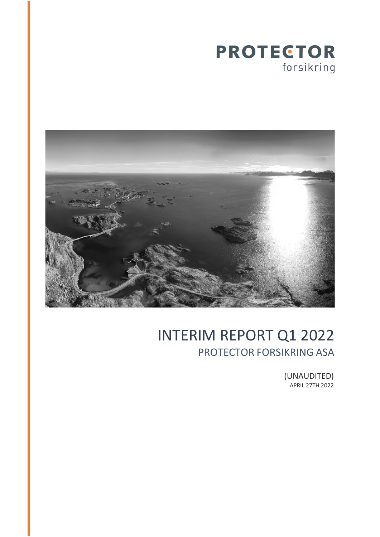



# INTERIM REPORT Q1 2022 PROTECTOR FORSIKRING ASA

(UNAUDITED) APRIL 27TH 2022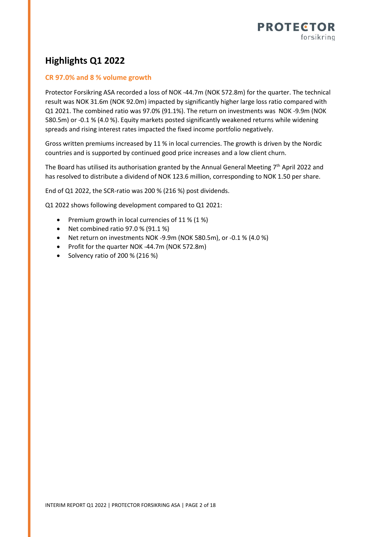

# **Highlights Q1 2022**

### **CR 97.0% and 8 % volume growth**

Protector Forsikring ASA recorded a loss of NOK -44.7m (NOK 572.8m) for the quarter. The technical result was NOK 31.6m (NOK 92.0m) impacted by significantly higher large loss ratio compared with Q1 2021. The combined ratio was 97.0% (91.1%). The return on investments was NOK -9.9m (NOK 580.5m) or -0.1 % (4.0 %). Equity markets posted significantly weakened returns while widening spreads and rising interest rates impacted the fixed income portfolio negatively.

Gross written premiums increased by 11 % in local currencies. The growth is driven by the Nordic countries and is supported by continued good price increases and a low client churn.

The Board has utilised its authorisation granted by the Annual General Meeting  $7<sup>th</sup>$  April 2022 and has resolved to distribute a dividend of NOK 123.6 million, corresponding to NOK 1.50 per share.

End of Q1 2022, the SCR-ratio was 200 % (216 %) post dividends.

Q1 2022 shows following development compared to Q1 2021:

- Premium growth in local currencies of 11 % (1 %)
- Net combined ratio 97.0 % (91.1 %)
- Net return on investments NOK -9.9m (NOK 580.5m), or -0.1 % (4.0 %)
- Profit for the quarter NOK -44.7m (NOK 572.8m)
- Solvency ratio of 200 % (216 %)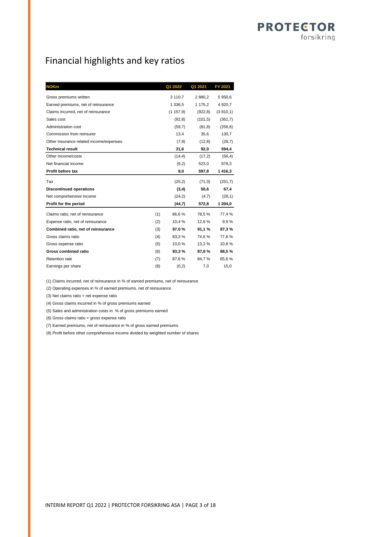# Financial highlights and key ratios

| <b>NOKm</b>                             | Q1 2022      | Q1 2021    | FY 2021     |
|-----------------------------------------|--------------|------------|-------------|
| Gross premiums written                  | 3 1 1 0 , 7  | 2 8 8 0, 2 | 5 950,6     |
| Earned premiums, net of reinsurance     | 1 336,5      | 1 175,2    | 4 9 20, 7   |
| Claims incurred, net of reinsurance     | (1157, 9)    | (922.8)    | (3, 810, 1) |
| Sales cost                              | (92,8)       | (101.5)    | (361,7)     |
| Administration cost                     | (59,7)       | (81,8)     | (256, 6)    |
| Commission from reinsurer               | 13,4         | 35,6       | 130,7       |
| Other insurance related income/expenses | (7,9)        | (12,8)     | (28,7)      |
| <b>Technical result</b>                 | 31,6         | 92,0       | 594,4       |
| Other income/costs                      | (14,4)       | (17,2)     | (56, 4)     |
| Net financial income                    | (9,2)        | 523,0      | 878,3       |
| Profit before tax                       | 8,0          | 597,8      | 1 416,3     |
| Tax                                     | (25,2)       | (71,0)     | (251,7)     |
| <b>Discontinued operations</b>          | (3,4)        | 50,6       | 67,4        |
| Net comprehensive income                | (24,2)       | (4,7)      | (28,1)      |
| Profit for the period                   | (44,7)       | 572,8      | 1 204,0     |
| Claims ratio, net of reinsurance        | (1)<br>86,6% | 78,5%      | 77,4 %      |
| Expense ratio, net of reinsurance       | (2)<br>10,4% | 12,6%      | 9.9%        |
| Combined ratio, net of reinsurance      | (3)<br>97,0% | 91,1 %     | 87,3%       |
| Gross claims ratio                      | (4)<br>83,3% | 74,6%      | 77,8%       |
| Gross expense ratio                     | (5)<br>10,0% | 13,2 %     | 10,8%       |
| Gross combined ratio                    | (6)<br>93,3% | 87,8%      | 88,5%       |
| <b>Retention rate</b>                   | 87,6%<br>(7) | 84,7%      | 85,6%       |
| Earnings per share                      | (8)<br>(0,2) | 7,0        | 15,0        |

(1) Claims incurred, net of reinsurance in % of earned premiums, net of reinsurance

(2) Operating expenses in % of earned premiums, net of reinsurance

(3) Net claims ratio + net expense ratio

(4) Gross claims incurred in % of gross premiums earned

(5) Sales and administration costs in % of gross premiums earned

(6) Gross claims ratio + gross expense ratio

(7) Earned premiums, net of reinsurance in % of gross earned premiums

(8) Profit before other comprehensive income divided by weighted number of shares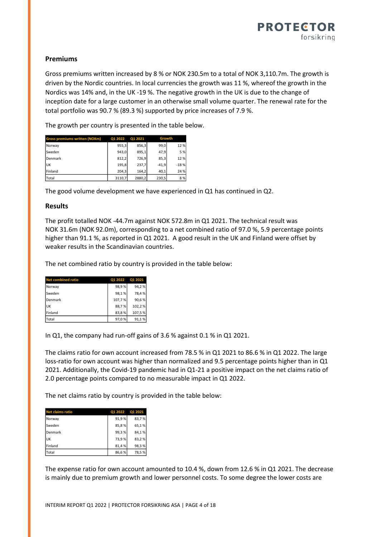

### **Premiums**

Gross premiums written increased by 8 % or NOK 230.5m to a total of NOK 3,110.7m. The growth is driven by the Nordic countries. In local currencies the growth was 11 %, whereof the growth in the Nordics was 14% and, in the UK -19 %. The negative growth in the UK is due to the change of inception date for a large customer in an otherwise small volume quarter. The renewal rate for the total portfolio was 90.7 % (89.3 %) supported by price increases of 7.9 %.

The growth per country is presented in the table below.

| <b>Gross premiums written (NOKm)</b>               | Q1 2022 | Q1 2021 | Growth  |        |  |  |  |  |
|----------------------------------------------------|---------|---------|---------|--------|--|--|--|--|
| Norway                                             | 955,3   | 856,3   | 99,0    | 12%    |  |  |  |  |
| Sweden                                             | 943,0   | 895,1   | 47,9    | 5 %    |  |  |  |  |
| Denmark                                            | 812,2   | 726,9   | 85,3    | 12%    |  |  |  |  |
| UK                                                 | 195,8   | 237,7   | $-41,9$ | $-18%$ |  |  |  |  |
| Finland                                            | 204,3   | 164,2   | 40,1    | 24 %   |  |  |  |  |
| Total                                              | 3110,7  | 2880,2  | 230,5   | 8 %    |  |  |  |  |
| <b>Results</b>                                     |         |         |         |        |  |  |  |  |
|                                                    |         |         |         |        |  |  |  |  |
| The profit totalled NOK -44.7m against NOK 572.8   |         |         |         |        |  |  |  |  |
| NOK 31.6m (NOK 92.0m), corresponding to a net      |         |         |         |        |  |  |  |  |
| higher than 91.1%, as reported in Q1 2021. A good  |         |         |         |        |  |  |  |  |
|                                                    |         |         |         |        |  |  |  |  |
| weaker results in the Scandinavian countries.      |         |         |         |        |  |  |  |  |
|                                                    |         |         |         |        |  |  |  |  |
| The net combined ratio by country is provided in t |         |         |         |        |  |  |  |  |
|                                                    |         |         |         |        |  |  |  |  |
| <b>Net combined ratio</b>                          | Q1 2022 | Q1 2021 |         |        |  |  |  |  |

The good volume development we have experienced in Q1 has continued in Q2.

#### **Results**

The profit totalled NOK -44.7m against NOK 572.8m in Q1 2021. The technical result was NOK 31.6m (NOK 92.0m), corresponding to a net combined ratio of 97.0 %, 5.9 percentage points higher than 91.1 %, as reported in Q1 2021. A good result in the UK and Finland were offset by weaker results in the Scandinavian countries.

The net combined ratio by country is provided in the table below:

| <b>Net combined ratio</b> | Q1 2022 | O1 2021 |
|---------------------------|---------|---------|
| Norway                    | 98,9%   | 94,2%   |
| Sweden                    | 98,1%   | 78,4%   |
| Denmark                   | 107,7%  | 90,6%   |
| <b>UK</b>                 | 88,7%   | 102,2%  |
| Finland                   | 83,8%   | 107,5%  |
| Total                     | 97,0%   | 91,1%   |

In Q1, the company had run-off gains of 3.6 % against 0.1 % in Q1 2021.

The claims ratio for own account increased from 78.5 % in Q1 2021 to 86.6 % in Q1 2022. The large loss-ratio for own account was higher than normalized and 9.5 percentage points higher than in Q1 2021. Additionally, the Covid-19 pandemic had in Q1-21 a positive impact on the net claims ratio of 2.0 percentage points compared to no measurable impact in Q1 2022.

The net claims ratio by country is provided in the table below:

| <b>Net claims ratio</b> | Q1 2022 | <b>Q1 2021</b> |
|-------------------------|---------|----------------|
| Norway                  | 91,9%   | 83,7%          |
| Sweden                  | 85,8%   | 65,1%          |
| Denmark                 | 99,3%   | 84,1%          |
| <b>UK</b>               | 73,9%   | 83,2%          |
| Finland                 | 81,4%   | 98,3%          |
| Total                   | 86,6%   | 78,5%          |

The expense ratio for own account amounted to 10.4 %, down from 12.6 % in Q1 2021. The decrease is mainly due to premium growth and lower personnel costs. To some degree the lower costs are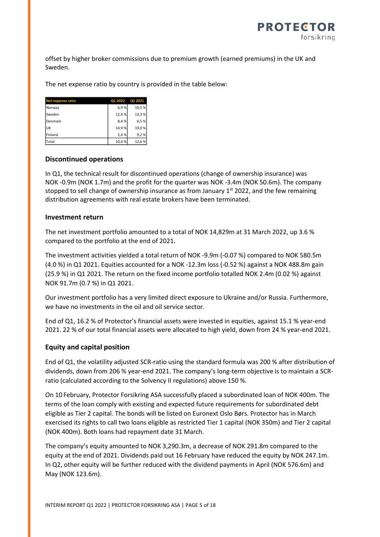

offset by higher broker commissions due to premium growth (earned premiums) in the UK and Sweden.

The net expense ratio by country is provided in the table below:

| <b>Net expense ratio</b> | Q1 2022 | Q1 2021 |
|--------------------------|---------|---------|
| Norway                   | 6,9%    | 10,5%   |
| Sweden                   | 12,4%   | 13,3%   |
| Denmark                  | 8,4%    | 6,5%    |
| <b>UK</b>                | 14,9%   | 19,0%   |
| Finland                  | 2,4%    | 9,2%    |
| Total                    | 10,4%   | 12,6%   |

#### **Discontinued operations**

In Q1, the technical result for discontinued operations (change of ownership insurance) was NOK -0.9m (NOK 1.7m) and the profit for the quarter was NOK -3.4m (NOK 50.6m). The company stopped to sell change of ownership insurance as from January  $1<sup>st</sup>$  2022, and the few remaining distribution agreements with real estate brokers have been terminated.

#### **Investment return**

The net investment portfolio amounted to a total of NOK 14,829m at 31 March 2022, up 3.6 % compared to the portfolio at the end of 2021.

The investment activities yielded a total return of NOK -9.9m (-0.07 %) compared to NOK 580.5m (4.0 %) in Q1 2021. Equities accounted for a NOK -12.3m loss (-0.52 %) against a NOK 488.8m gain (25.9 %) in Q1 2021. The return on the fixed income portfolio totalled NOK 2.4m (0.02 %) against NOK 91.7m (0.7 %) in Q1 2021.

Our investment portfolio has a very limited direct exposure to Ukraine and/or Russia. Furthermore, we have no investments in the oil and oil service sector.

End of Q1, 16.2 % of Protector's financial assets were invested in equities, against 15.1 % year-end 2021. 22 % of our total financial assets were allocated to high yield, down from 24 % year-end 2021.

#### **Equity and capital position**

End of Q1, the volatility adjusted SCR-ratio using the standard formula was 200 % after distribution of dividends, down from 206 % year-end 2021. The company's long-term objective is to maintain a SCRratio (calculated according to the Solvency II regulations) above 150 %.

On 10 February, Protector Forsikring ASA successfully placed a subordinated loan of NOK 400m. The terms of the loan comply with existing and expected future requirements for subordinated debt eligible as Tier 2 capital. The bonds will be listed on Euronext Oslo Børs. Protector has in March exercised its rights to call two loans eligible as restricted Tier 1 capital (NOK 350m) and Tier 2 capital (NOK 400m). Both loans had repayment date 31 March.

The company's equity amounted to NOK 3,290.3m, a decrease of NOK 291.8m compared to the equity at the end of 2021. Dividends paid out 16 February have reduced the equity by NOK 247.1m. In Q2, other equity will be further reduced with the dividend payments in April (NOK 576.6m) and May (NOK 123.6m).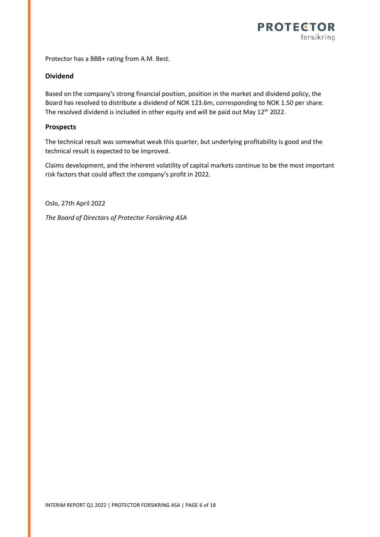

Protector has a BBB+ rating from A.M. Best.

### **Dividend**

Based on the company's strong financial position, position in the market and dividend policy, the Board has resolved to distribute a dividend of NOK 123.6m, corresponding to NOK 1.50 per share. The resolved dividend is included in other equity and will be paid out May 12<sup>th</sup> 2022.

### **Prospects**

The technical result was somewhat weak this quarter, but underlying profitability is good and the technical result is expected to be improved.

Claims development, and the inherent volatility of capital markets continue to be the most important risk factors that could affect the company's profit in 2022.

Oslo, 27th April 2022

*The Board of Directors of Protector Forsikring ASA*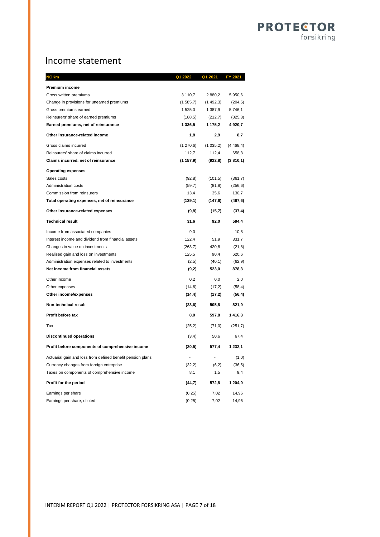# **PROTECTOR** forsikring

# Income statement

| <b>NOKm</b>                                                | Q1 2022                  | Q1 2021        | FY 2021   |
|------------------------------------------------------------|--------------------------|----------------|-----------|
| Premium income                                             |                          |                |           |
| Gross written premiums                                     | 3 110,7                  | 2 880,2        | 5 950,6   |
| Change in provisions for unearned premiums                 | (1585,7)                 | (1, 492, 3)    | (204, 5)  |
| Gross premiums earned                                      | 1 525,0                  | 1 387,9        | 5746,1    |
| Reinsurers' share of earned premiums                       | (188, 5)                 | (212,7)        | (825,3)   |
| Earned premiums, net of reinsurance                        | 1 336,5                  | 1 175,2        | 4 9 20,7  |
| Other insurance-related income                             | 1,8                      | 2,9            | 8,7       |
| Gross claims incurred                                      | (1 270, 6)               | (1035,2)       | (4468, 4) |
| Reinsurers' share of claims incurred                       | 112,7                    | 112,4          | 658,3     |
| Claims incurred, net of reinsurance                        | (1157, 9)                | (922, 8)       | (3810, 1) |
| <b>Operating expenses</b>                                  |                          |                |           |
| Sales costs                                                | (92, 8)                  | (101, 5)       | (361,7)   |
| <b>Administration costs</b>                                | (59,7)                   | (81, 8)        | (256, 6)  |
| Commission from reinsurers                                 | 13,4                     | 35,6           | 130,7     |
| Total operating expenses, net of reinsurance               | (139, 1)                 | (147, 6)       | (487, 6)  |
| Other insurance-related expenses                           | (9,8)                    | (15,7)         | (37, 4)   |
| <b>Technical result</b>                                    | 31,6                     | 92,0           | 594,4     |
| Income from associated companies                           | 9,0                      | $\blacksquare$ | 10,8      |
| Interest income and dividend from financial assets         | 122,4                    | 51,9           | 331,7     |
| Changes in value on investments                            | (263,7)                  | 420,8          | (21, 8)   |
| Realised gain and loss on investments                      | 125,5                    | 90,4           | 620,6     |
| Administration expenses related to investments             | (2,5)                    | (40,1)         | (62, 9)   |
| Net income from financial assets                           | (9,2)                    | 523,0          | 878,3     |
| Other income                                               | 0,2                      | 0,0            | 2,0       |
| Other expenses                                             | (14, 6)                  | (17,2)         | (58, 4)   |
| Other income/expenses                                      | (14, 4)                  | (17,2)         | (56, 4)   |
| Non-technical result                                       | (23, 6)                  | 505,8          | 821,9     |
| Profit before tax                                          | 8,0                      | 597,8          | 1416,3    |
| Tax                                                        | (25,2)                   | (71, 0)        | (251,7)   |
| <b>Discontinued operations</b>                             | (3,4)                    | 50,6           | 67,4      |
| Profit before components of comprehensive income           | (20,5)                   | 577,4          | 1 232,1   |
| Actuarial gain and loss from defined benefit pension plans | $\overline{\phantom{a}}$ | ÷,             | (1,0)     |
| Currency changes from foreign enterprise                   | (32,2)                   | (6,2)          | (36, 5)   |
| Taxes on components of comprehensive income                | 8,1                      | 1,5            | 9,4       |
| Profit for the period                                      | (44,7)                   | 572,8          | 1 204,0   |
| Earnings per share                                         | (0, 25)                  | 7,02           | 14,96     |
| Earnings per share, diluted                                | (0, 25)                  | 7,02           | 14,96     |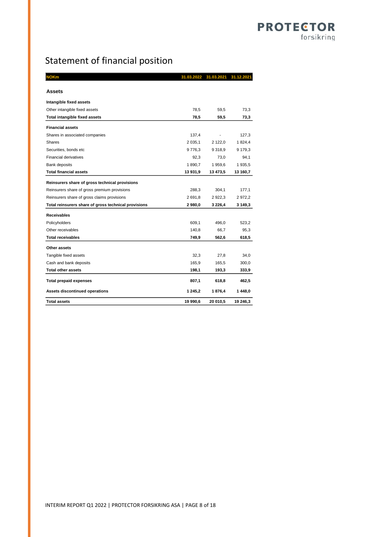# Statement of financial position

| IOKm                                                 |            | 31.03.2022 31.03.2021 31.12.2021 |          |
|------------------------------------------------------|------------|----------------------------------|----------|
| Assets                                               |            |                                  |          |
| Intangible fixed assets                              |            |                                  |          |
| Other intangible fixed assets                        | 78,5       | 59,5                             | 73,3     |
| <b>Total intangible fixed assets</b>                 | 78,5       | 59,5                             | 73,3     |
| <b>Financial assets</b>                              |            |                                  |          |
| Shares in associated companies                       | 137,4      |                                  | 127,3    |
| Shares                                               | 2 0 3 5, 1 | 2 122,0                          | 1824,4   |
| Securities, bonds etc                                | 9776,3     | 9 3 1 8 , 9                      | 9 179,3  |
| <b>Financial derivatives</b>                         | 92,3       | 73,0                             | 94,1     |
| Bank deposits                                        | 1890,7     | 1 959,6                          | 1935,5   |
| <b>Total financial assets</b>                        | 13 931,9   | 13 473,5                         | 13 160,7 |
| Reinsurers share of gross technical provisions       |            |                                  |          |
| Reinsurers share of gross premium provisions         | 288,3      | 304,1                            | 177,1    |
| Reinsurers share of gross claims provisions          | 2691,8     | 2922,3                           | 2972,2   |
| Total reinsurers share of gross technical provisions | 2 980,0    | 3 2 2 6,4                        | 3 149,3  |
| <b>Receivables</b>                                   |            |                                  |          |
| Policyholders                                        | 609,1      | 496,0                            | 523,2    |
| Other receivables                                    | 140,8      | 66.7                             | 95,3     |
| <b>Total receivables</b>                             | 749,9      | 562,6                            | 618,5    |
| Other assets                                         |            |                                  |          |
| Tangible fixed assets                                | 32,3       | 27,8                             | 34,0     |
| Cash and bank deposits                               | 165,9      | 165,5                            | 300,0    |
| <b>Total other assets</b>                            | 198,1      | 193,3                            | 333,9    |
| <b>Total prepaid expenses</b>                        | 807,1      | 618,8                            | 462,5    |
| Assets discontinued operations                       | 1 245,2    | 1876,4                           | 1448,0   |
| <b>Total assets</b>                                  | 19 990,6   | 20 010,5                         | 19 246,3 |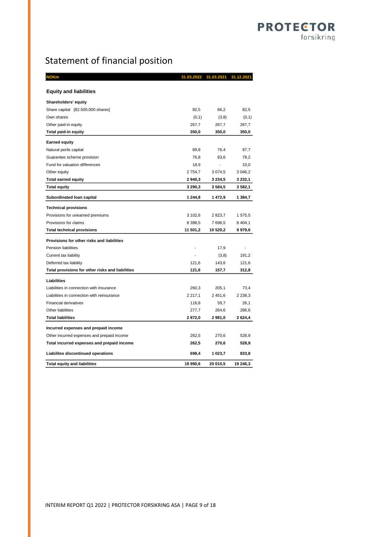# Statement of financial position

| <b>NOKm</b>                                      | 31.03.2022  | 31.03.2021  | 31.12.2021  |
|--------------------------------------------------|-------------|-------------|-------------|
|                                                  |             |             |             |
| <b>Equity and liabilities</b>                    |             |             |             |
| <b>Shareholders' equity</b>                      |             |             |             |
| Share capital [82.500.000 shares]                | 82,5        | 86,2        | 82,5        |
| Own shares                                       | (0,1)       | (3,8)       | (0,1)       |
| Other paid-in equity                             | 267,7       | 267,7       | 267,7       |
| Total paid-in equity                             | 350,0       | 350,0       | 350,0       |
| <b>Earned equity</b>                             |             |             |             |
| Natural perils capital                           | 89,8        | 76,4        | 97,7        |
| Guarantee scheme provision                       | 76,8        | 83,6        | 78,2        |
| Fund for valuation differences                   | 18,9        | ÷,          | 10,0        |
| Other equity                                     | 2754,7      | 3 0 7 4 , 5 | 3 0 46,2    |
| <b>Total earned equity</b>                       | 2940,3      | 3 2 3 4 , 5 | 3 232,1     |
| <b>Total equity</b>                              | 3 290,3     | 3584,5      | 3 582,1     |
| Subordinated Ioan capital                        | 1 244,8     | 1 472,9     | 1 384,7     |
| <b>Technical provisions</b>                      |             |             |             |
| Provisions for unearned premiums                 | 3 102,6     | 2823,7      | 1 575,5     |
| Provisions for claims                            | 8 3 9 8 , 5 | 7696,5      | 8 4 0 4, 1  |
| <b>Total technical provisions</b>                | 11 501,2    | 10 520,2    | 9 979,6     |
| Provisions for other risks and liabilities       |             |             |             |
| <b>Pension liabilities</b>                       |             | 17,9        |             |
| Current tax liability                            |             | (3,8)       | 191,2       |
| Deferred tax liability                           | 121,6       | 143,6       | 121,6       |
| Total provisions for other risks and liabilities | 121,6       | 157,7       | 312,8       |
| <b>Liabilities</b>                               |             |             |             |
| Liabilities in connection with insurance         | 260,3       | 205,1       | 73,4        |
| Liabilities in connection with reinsurance       | 2 2 1 7, 1  | 2 451,6     | 2 2 3 8 , 3 |
| <b>Financial derivatives</b>                     | 116,8       | 59,7        | 26,1        |
| Other liabilities                                | 277,7       | 264,6       | 286,6       |
| <b>Total liabilities</b>                         | 2872,0      | 2981,0      | 2 6 2 4 , 4 |
| Incurred expenses and prepaid income             |             |             |             |
| Other incurred expenses and prepaid income       | 262,5       | 270,6       | 528,9       |
| Total incurred expenses and prepaid income       | 262,5       | 270,6       | 528,9       |
| Liabilites discontinued operations               | 698,4       | 1 023,7     | 833,8       |
| <b>Total equity and liabilities</b>              | 19 990.6    | 20 010.5    | 19 246,3    |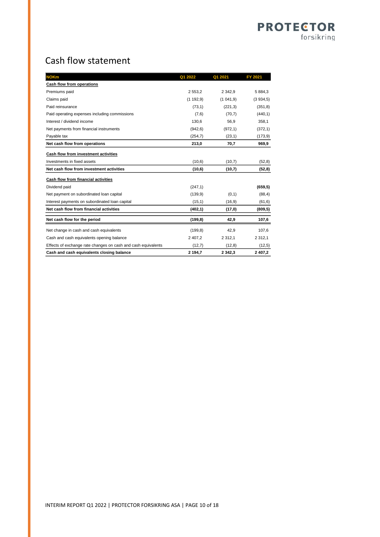## **PROTECTOR** forsikring

# Cash flow statement

| <b>NOKm</b>                                                   | Q1 2022     | Q1 2021     | FY 2021     |
|---------------------------------------------------------------|-------------|-------------|-------------|
| Cash flow from operations                                     |             |             |             |
| Premiums paid                                                 | 2 5 5 3 , 2 | 2 3 4 2 . 9 | 5 8 8 4 3   |
| Claims paid                                                   | (1192,9)    | (1041,9)    | (3934,5)    |
| Paid reinsurance                                              | (73,1)      | (221,3)     | (351, 8)    |
| Paid operating expenses including commissions                 | (7,6)       | (70,7)      | (440, 1)    |
| Interest / dividend income                                    | 130,6       | 56,9        | 358,1       |
| Net payments from financial instruments                       | (942, 6)    | (972, 1)    | (372, 1)    |
| Payable tax                                                   | (254,7)     | (23,1)      | (173, 9)    |
| Net cash flow from operations                                 | 213,0       | 70,7        | 969,9       |
| Cash flow from investment activities                          |             |             |             |
| Investments in fixed assets                                   | (10, 6)     | (10,7)      | (52,8)      |
| Net cash flow from investment activities                      | (10,6)      | (10,7)      | (52, 8)     |
| Cash flow from financial activities                           |             |             |             |
| Dividend paid                                                 | (247, 1)    |             | (659, 5)    |
| Net payment on subordinated loan capital                      | (139.9)     | (0,1)       | (88, 4)     |
| Interest payments on subordinated loan capital                | (15,1)      | (16, 9)     | (61, 6)     |
| Net cash flow from financial activities                       | (402, 1)    | (17, 0)     | (809, 5)    |
| Net cash flow for the period                                  | (199.8)     | 42,9        | 107,6       |
| Net change in cash and cash equivalents                       | (199.8)     | 42.9        | 107,6       |
| Cash and cash equivalents opening balance                     | 2 407,2     | 2 3 1 2 , 1 | 2 3 1 2 , 1 |
| Effects of exchange rate changes on cash and cash equivalents | (12,7)      | (12,8)      | (12,5)      |
| Cash and cash equivalents closing balance                     | 2 194.7     | 2 3 4 2 . 3 | 2 407,2     |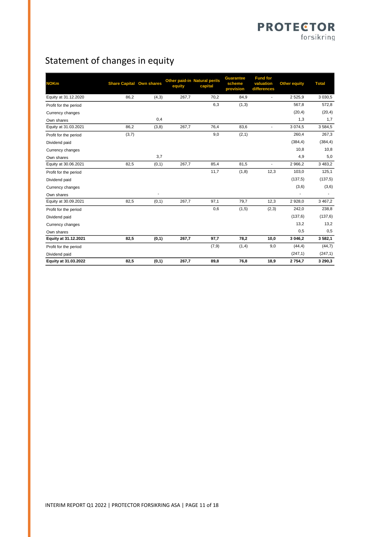# Statement of changes in equity

| <b>NOKm</b>           | <b>Share Capital Own shares</b> |        | equity | Other paid-in Natural perils<br>capital | <b>Guarantee</b><br>scheme<br>provision | <b>Fund for</b><br>valuation<br>differences | <b>Other equity</b> | <b>Total</b> |
|-----------------------|---------------------------------|--------|--------|-----------------------------------------|-----------------------------------------|---------------------------------------------|---------------------|--------------|
| Equity at 31.12.2020  | 86,2                            | (4,3)  | 267,7  | 70,2                                    | 84,9                                    | $\overline{a}$                              | 2525,9              | 3 0 3 0.5    |
| Profit for the period |                                 |        |        | 6,3                                     | (1,3)                                   |                                             | 567,8               | 572,8        |
| Currency changes      |                                 |        |        |                                         |                                         |                                             | (20, 4)             | (20, 4)      |
| Own shares            |                                 | 0,4    |        |                                         |                                         |                                             | 1,3                 | 1,7          |
| Equity at 31.03.2021  | 86,2                            | (3, 8) | 267,7  | 76,4                                    | 83,6                                    | $\overline{\phantom{a}}$                    | 3 0 7 4 , 5         | 3584,5       |
| Profit for the period | (3,7)                           |        |        | 9,0                                     | (2, 1)                                  |                                             | 260,4               | 267,3        |
| Dividend paid         |                                 |        |        |                                         |                                         |                                             | (384, 4)            | (384, 4)     |
| Currency changes      |                                 |        |        |                                         |                                         |                                             | 10,8                | 10,8         |
| Own shares            |                                 | 3,7    |        |                                         |                                         |                                             | 4,9                 | 5,0          |
| Equity at 30.06.2021  | 82,5                            | (0,1)  | 267,7  | 85,4                                    | 81,5                                    | $\blacksquare$                              | 2 966,2             | 3 4 8 3 , 2  |
| Profit for the period |                                 |        |        | 11,7                                    | (1, 8)                                  | 12,3                                        | 103,0               | 125,1        |
| Dividend paid         |                                 |        |        |                                         |                                         |                                             | (137, 5)            | (137, 5)     |
| Currency changes      |                                 |        |        |                                         |                                         |                                             | (3,6)               | (3,6)        |
| Own shares            |                                 | ٠      |        |                                         |                                         |                                             |                     | ۰            |
| Equity at 30.09.2021  | 82,5                            | (0,1)  | 267,7  | 97,1                                    | 79,7                                    | 12,3                                        | 2 928,0             | 3 4 6 7 , 2  |
| Profit for the period |                                 |        |        | 0,6                                     | (1,5)                                   | (2,3)                                       | 242,0               | 238,8        |
| Dividend paid         |                                 |        |        |                                         |                                         |                                             | (137, 6)            | (137, 6)     |
| Currency changes      |                                 |        |        |                                         |                                         |                                             | 13,2                | 13,2         |
| Own shares            |                                 |        |        |                                         |                                         |                                             | 0,5                 | 0,5          |
| Equity at 31.12.2021  | 82,5                            | (0,1)  | 267,7  | 97,7                                    | 78,2                                    | 10,0                                        | 3 046,2             | 3 582,1      |
| Profit for the period |                                 |        |        | (7, 9)                                  | (1,4)                                   | 9,0                                         | (44, 4)             | (44,7)       |
| Dividend paid         |                                 |        |        |                                         |                                         |                                             | (247, 1)            | (247, 1)     |
| Equity at 31.03.2022  | 82,5                            | (0,1)  | 267,7  | 89,8                                    | 76,8                                    | 18,9                                        | 2754,7              | 3 290,3      |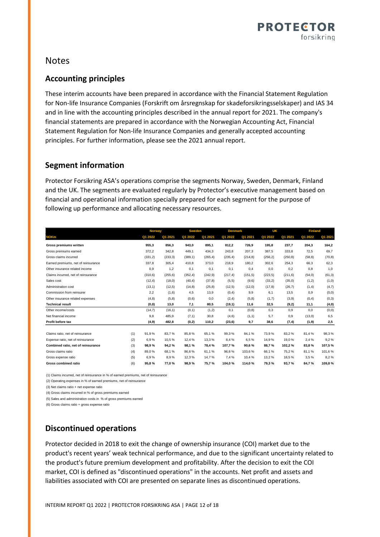

## Notes

## **Accounting principles**

These interim accounts have been prepared in accordance with the Financial Statement Regulation for Non-life Insurance Companies (Forskrift om årsregnskap for skadeforsikringsselskaper) and IAS 34 and in line with the accounting principles described in the annual report for 2021. The company's financial statements are prepared in accordance with the Norwegian Accounting Act, Financial Statement Regulation for Non-life Insurance Companies and generally accepted accounting principles. For further information, please see the 2021 annual report.

### **Segment information**

Protector Forsikring ASA's operations comprise the segments Norway, Sweden, Denmark, Finland and the UK. The segments are evaluated regularly by Protector's executive management based on financial and operational information specially prepared for each segment for the purpose of following up performance and allocating necessary resources.

|                                           | <b>Norway</b> |          | <b>Sweden</b> |          | <b>Denmark</b> |          | UK      |          | <b>Finland</b> |         |
|-------------------------------------------|---------------|----------|---------------|----------|----------------|----------|---------|----------|----------------|---------|
| <b>NOKm</b>                               | Q1 2022       | Q1 2021  | Q1 2022       | Q1 2021  | Q1 2022        | Q1 2021  | Q1 2022 | Q1 2021  | Q1 2022        | Q1 2021 |
| Gross premiums written                    | 955,3         | 856,3    | 943,0         | 895,1    | 812,2          | 726,9    | 195,8   | 237,7    | 204,3          | 164,2   |
| Gross premiums earned                     | 372,2         | 342,8    | 449,1         | 434,3    | 243,8          | 207,3    | 387,5   | 333,8    | 72,5           | 69,7    |
| Gross claims incurred                     | (331, 2)      | (233,3)  | (389, 1)      | (265, 4) | (235, 4)       | (214.8)  | (256.2) | (250, 8) | (58, 8)        | (70, 8) |
| Earned premiums, net of reinsurance       | 337,8         | 305,4    | 410,8         | 373,0    | 218,9          | 180,2    | 302,6   | 254,3    | 66,3           | 62,3    |
| Other insurance related income            | 0,9           | 1,2      | 0,1           | 0,1      | 0,1            | 0,4      | 0,0     | 0,2      | 0,8            | 1,0     |
| Claims incurred, net of reinsurance       | (310, 6)      | (255, 6) | (352, 4)      | (242, 9) | (217, 4)       | (151, 5) | (223.5) | (211.6)  | (54, 0)        | (61, 3) |
| Sales cost                                | (12, 4)       | (18, 0)  | (40, 4)       | (37, 8)  | (5,5)          | (9,6)    | (33,2)  | (35,0)   | (1,2)          | (1,0)   |
| Administration cost                       | (13,1)        | (12,5)   | (14, 8)       | (25.8)   | (12,5)         | (12,0)   | (17, 8) | (26,7)   | (1,4)          | (4,7)   |
| Commission from reinsurer                 | 2,2           | (1,6)    | 4,5           | 13,9     | (0,4)          | 9,9      | 6,1     | 13,5     | 0,9            | (0, 0)  |
| Other insurance related expenses          | (4, 8)        | (5,8)    | (0,6)         | 0,0      | (2,4)          | (5,8)    | (1,7)   | (3,9)    | (0, 4)         | (0,3)   |
| <b>Technical result</b>                   | (0, 0)        | 13,0     | 7,1           | 80,5     | (19,1)         | 11,6     | 32,5    | (9,2)    | 11,1           | (4, 0)  |
| Other income/costs                        | (14,7)        | (16, 1)  | (0,1)         | (1,2)    | 0,1            | (0, 8)   | 0,3     | 0.9      | 0,0            | (0,0)   |
| Net financial income                      | 9,8           | 485,9    | (7, 1)        | 30,8     | (4,6)          | (1,1)    | 5,7     | 0,9      | (13,0)         | 6,5     |
| Profit before tax                         | (4, 9)        | 482,8    | (0, 2)        | 110,2    | (23, 6)        | 9,7      | 38,6    | (7, 4)   | (1, 9)         | 2,5     |
|                                           |               |          |               |          |                |          |         |          |                |         |
| (1)<br>Claims ratio, net of reinsurance   | 91,9%         | 83.7%    | 85.8%         | 65.1%    | 99,3%          | 84,1%    | 73.9%   | 83,2%    | 81.4%          | 98,3%   |
| (2)<br>Expense ratio, net of reinsurance  | 6.9%          | 10,5%    | 12,4%         | 13,3%    | 8,4%           | 6,5%     | 14,9%   | 19,0%    | 2,4%           | 9,2%    |
| Combined ratio, net of reinsurance<br>(3) | 98,9%         | 94,2%    | 98,1%         | 78,4%    | 107,7%         | 90,6%    | 88,7%   | 102,2%   | 83,8%          | 107,5%  |
| Gross claims ratio<br>(4)                 | 89,0%         | 68.1%    | 86,6%         | 61.1%    | 96,6%          | 103,6%   | 66.1%   | 75,2%    | 81.1%          | 101,6%  |
| (5)<br>Gross expense ratio                | 6.9%          | 8.9%     | 12,3%         | 14,7%    | 7,4%           | 10,4%    | 13,2%   | 18,5%    | 3.5%           | 8,2%    |
| <b>Gross combined ratio</b><br>(6)        | 95,8%         | 77,0%    | 98,9%         | 75,7%    | 104,0%         | 114,0%   | 79,3%   | 93,7%    | 84,7%          | 109,8%  |

(1) Claims incurred, net of reinsurance in % of earned premiums, net of reinsurance

(2) Operating expenses in % of earned premiums, net of reinsurance

(3) Net claims ratio + net expense ratio

(4) Gross claims incurred in % of gross premiums earned

(5) Sales and administration costs in % of gross premiums earned

(6) Gross claims ratio + gross expense ratio

### **Discontinued operations**

Protector decided in 2018 to exit the change of ownership insurance (COI) market due to the product's recent years' weak technical performance, and due to the significant uncertainty related to the product's future premium development and profitability. After the decision to exit the COI market, COI is defined as "discontinued operations" in the accounts. Net profit and assets and liabilities associated with COI are presented on separate lines as discontinued operations.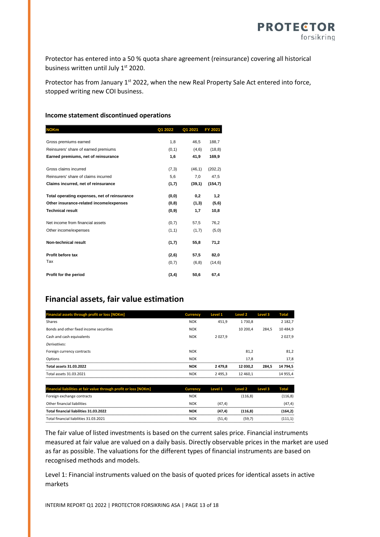

Protector has entered into a 50 % quota share agreement (reinsurance) covering all historical business written until July 1<sup>st</sup> 2020.

Protector has from January 1<sup>st</sup> 2022, when the new Real Property Sale Act entered into force, stopped writing new COI business.

#### **Income statement discontinued operations**

| <b>NOKm</b>                                  | Q1 2022 | Q1 2021 | FY 2021  |
|----------------------------------------------|---------|---------|----------|
|                                              |         |         |          |
| Gross premiums earned                        | 1,8     | 46,5    | 188,7    |
| Reinsurers' share of earned premiums         | (0,1)   | (4,6)   | (18, 8)  |
| Earned premiums, net of reinsurance          | 1,6     | 41,9    | 169,9    |
| Gross claims incurred                        | (7,3)   | (46, 1) | (202, 2) |
| Reinsurers' share of claims incurred         | 5,6     | 7,0     | 47,5     |
| Claims incurred, net of reinsurance          | (1,7)   | (39,1)  | (154,7)  |
| Total operating expenses, net of reinsurance | (0,0)   | 0,2     | 1,2      |
| Other insurance-related income/expenses      | (0,8)   | (1,3)   | (5,6)    |
| <b>Technical result</b>                      | (0,9)   | 1,7     | 10,8     |
| Net income from financial assets             | (0,7)   | 57,5    | 76,2     |
| Other income/expenses                        | (1,1)   | (1,7)   | (5,0)    |
| Non-technical result                         | (1,7)   | 55,8    | 71,2     |
| Profit before tax                            | (2,6)   | 57,5    | 82,0     |
| Tax                                          | (0,7)   | (6, 8)  | (14, 6)  |
| Profit for the period                        | (3,4)   | 50,6    | 67,4     |

### **Financial assets, fair value estimation**

| Financial assets through profit or loss [NOKm] | <b>Currency</b> | <b>Level 1</b> | Level 2  | Level 3 | <b>Total</b> |
|------------------------------------------------|-----------------|----------------|----------|---------|--------------|
| Shares                                         | <b>NOK</b>      | 451,9          | 1730.8   |         | 2 182,7      |
| Bonds and other fixed income securities        | <b>NOK</b>      |                | 10 200.4 | 284,5   | 10 4 8 4.9   |
| Cash and cash equivalents                      | <b>NOK</b>      | 2027.9         |          |         | 2027,9       |
| Derivatives:                                   |                 |                |          |         |              |
| Foreign currency contracts                     | <b>NOK</b>      |                | 81,2     |         | 81,2         |
| Options                                        | <b>NOK</b>      |                | 17,8     |         | 17.8         |
| <b>Total assets 31.03.2022</b>                 | <b>NOK</b>      | 2 4 7 9.8      | 12 030.2 | 284.5   | 14 794.5     |
| Total assets 31.03.2021                        | <b>NOK</b>      | 2 4 9 5 . 3    | 12 460.1 |         | 14 955.4     |

| Financial liabilities at fair value through profit or loss [NOKm] | <b>Currency</b> | Level 1 | Level 2  | Level 3 | Total    |
|-------------------------------------------------------------------|-----------------|---------|----------|---------|----------|
| Foreign exchange contracts                                        | <b>NOK</b>      |         | (116, 8) |         | (116, 8) |
| Other financial liabilities                                       | <b>NOK</b>      | (47.4)  |          |         | (47.4)   |
| Total financial liabilities 31.03.2022                            | NOK             | (47.4)  | (116.8)  |         | (164.2)  |
| Total financial liabilities 31.03.2021                            | <b>NOK</b>      | (51.4)  | (59.7)   |         | (111.1)  |

The fair value of listed investments is based on the current sales price. Financial instruments measured at fair value are valued on a daily basis. Directly observable prices in the market are used as far as possible. The valuations for the different types of financial instruments are based on recognised methods and models.

Level 1: Financial instruments valued on the basis of quoted prices for identical assets in active markets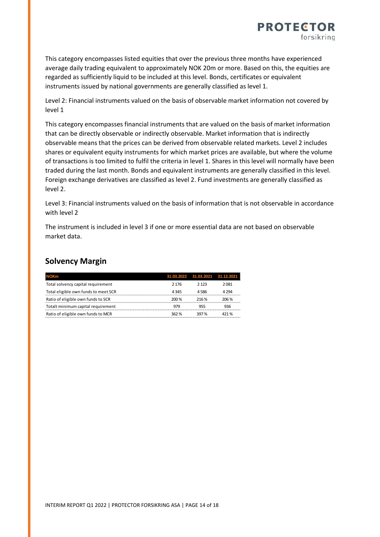

This category encompasses listed equities that over the previous three months have experienced average daily trading equivalent to approximately NOK 20m or more. Based on this, the equities are regarded as sufficiently liquid to be included at this level. Bonds, certificates or equivalent instruments issued by national governments are generally classified as level 1.

Level 2: Financial instruments valued on the basis of observable market information not covered by level 1

This category encompasses financial instruments that are valued on the basis of market information that can be directly observable or indirectly observable. Market information that is indirectly observable means that the prices can be derived from observable related markets. Level 2 includes shares or equivalent equity instruments for which market prices are available, but where the volume of transactions is too limited to fulfil the criteria in level 1. Shares in this level will normally have been traded during the last month. Bonds and equivalent instruments are generally classified in this level. Foreign exchange derivatives are classified as level 2. Fund investments are generally classified as level 2.

Level 3: Financial instruments valued on the basis of information that is not observable in accordance with level 2

The instrument is included in level 3 if one or more essential data are not based on observable market data.

## **Solvency Margin**

| <b>NOKm</b>                          |         | 31.03.2022 31.03.2021 | 31.12.2021 |
|--------------------------------------|---------|-----------------------|------------|
| Total solvency capital requirement   | 2 1 7 6 | 2 1 2 3               | 2081       |
| Total eligible own funds to meet SCR | 4345    | 4586                  | 4 2 9 4    |
| Ratio of eligible own funds to SCR   | 200 %   | 216%                  | 206 %      |
| Totalt minimum capital requirement   | 979     | 955                   | 936        |
| Ratio of eligible own funds to MCR   | 362%    | 397%                  | 421 %      |
|                                      |         |                       |            |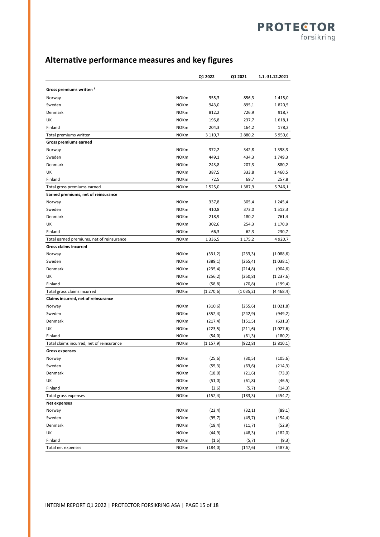## **Alternative performance measures and key figures**

|                                                                    |                            | Q1 2022     | Q1 2021  | 1.1.-31.12.2021 |
|--------------------------------------------------------------------|----------------------------|-------------|----------|-----------------|
| Gross premiums written <sup>1</sup>                                |                            |             |          |                 |
| Norway                                                             | <b>NOKm</b>                | 955,3       | 856,3    | 1415,0          |
| Sweden                                                             | <b>NOKm</b>                | 943,0       | 895,1    | 1820,5          |
| Denmark                                                            | <b>NOKm</b>                | 812,2       | 726,9    | 918,7           |
| UK                                                                 | <b>NOKm</b>                | 195,8       | 237,7    | 1618,1          |
| Finland                                                            | <b>NOKm</b>                | 204,3       | 164,2    | 178,2           |
| Total premiums written                                             | <b>NOKm</b>                | 3 1 1 0 , 7 | 2880,2   | 5950,6          |
| Gross premiums earned                                              |                            |             |          |                 |
| Norway                                                             | <b>NOKm</b>                | 372,2       | 342,8    | 1 3 9 8 , 3     |
| Sweden                                                             | <b>NOKm</b>                | 449,1       | 434,3    | 1749,3          |
| Denmark                                                            | <b>NOKm</b>                | 243,8       | 207,3    | 880,2           |
| UK                                                                 | <b>NOKm</b>                | 387,5       | 333,8    | 1460,5          |
| Finland                                                            | <b>NOKm</b>                | 72,5        | 69,7     | 257,8           |
| Total gross premiums earned                                        | <b>NOKm</b>                | 1525,0      | 1387,9   | 5 746,1         |
| Earned premiums, net of reinsurance                                |                            |             |          |                 |
| Norway                                                             | <b>NOKm</b>                | 337,8       | 305,4    | 1 2 4 5 , 4     |
| Sweden                                                             | <b>NOKm</b>                | 410,8       | 373,0    | 1512,3          |
| Denmark                                                            | <b>NOKm</b>                | 218,9       | 180,2    | 761,4           |
| UK                                                                 | <b>NOKm</b>                | 302,6       | 254,3    | 1 170,9         |
| Finland                                                            | <b>NOKm</b>                | 66,3        | 62,3     | 230,7           |
| Total earned premiums, net of reinsurance                          | <b>NOKm</b>                | 1 3 3 6, 5  | 1 175,2  | 4 9 2 0 , 7     |
| Gross claims incurred                                              |                            |             |          |                 |
| Norway                                                             | <b>NOKm</b>                | (331,2)     | (233,3)  | (1088,6)        |
| Sweden                                                             | <b>NOKm</b>                | (389,1)     | (265, 4) | (1038,1)        |
| Denmark                                                            | <b>NOKm</b>                | (235, 4)    | (214, 8) | (904, 6)        |
| UK                                                                 | <b>NOKm</b>                |             |          |                 |
| Finland                                                            | <b>NOKm</b>                | (256, 2)    | (250, 8) | (1237,6)        |
|                                                                    | <b>NOKm</b>                | (58, 8)     | (70, 8)  | (199, 4)        |
| Total gross claims incurred<br>Claims incurred, net of reinsurance |                            | (1270,6)    | (1035,2) | (4468, 4)       |
|                                                                    | <b>NOKm</b>                |             |          |                 |
| Norway<br>Sweden                                                   |                            | (310,6)     | (255, 6) | (1021,8)        |
| Denmark                                                            | <b>NOKm</b><br><b>NOKm</b> | (352, 4)    | (242, 9) | (949, 2)        |
|                                                                    |                            | (217, 4)    | (151,5)  | (631, 3)        |
| UK                                                                 | <b>NOKm</b>                | (223, 5)    | (211,6)  | (1027,6)        |
| Finland                                                            | <b>NOKm</b>                | (54, 0)     | (61, 3)  | (180, 2)        |
| Total claims incurred, net of reinsurance                          | <b>NOKm</b>                | (1157, 9)   | (922,8)  | (3810,1)        |
| <b>Gross expenses</b>                                              |                            |             |          |                 |
| Norway                                                             | <b>NOKm</b>                | (25, 6)     | (30,5)   | (105, 6)        |
| Sweden                                                             | <b>NOKm</b>                | (55,3)      | (63, 6)  | (214, 3)        |
| Denmark                                                            | <b>NOKm</b>                | (18, 0)     | (21, 6)  | (73, 9)         |
| UK                                                                 | <b>NOKm</b>                | (51,0)      | (61, 8)  | (46, 5)         |
| Finland                                                            | <b>NOKm</b>                | (2,6)       | (5,7)    | (14, 3)         |
| Total gross expenses                                               | <b>NOKm</b>                | (152, 4)    | (183, 3) | (454, 7)        |
| Net expenses                                                       |                            |             |          |                 |
| Norway                                                             | <b>NOKm</b>                | (23, 4)     | (32,1)   | (89, 1)         |
| Sweden                                                             | <b>NOKm</b>                | (95, 7)     | (49,7)   | (154, 4)        |
| Denmark                                                            | <b>NOKm</b>                | (18, 4)     | (11,7)   | (52, 9)         |
| UK                                                                 | <b>NOKm</b>                | (44, 9)     | (48, 3)  | (182, 0)        |
| Finland                                                            | <b>NOKm</b>                | (1,6)       | (5,7)    | (9,3)           |
| Total net expenses                                                 | <b>NOKm</b>                | (184, 0)    | (147, 6) | (487,6)         |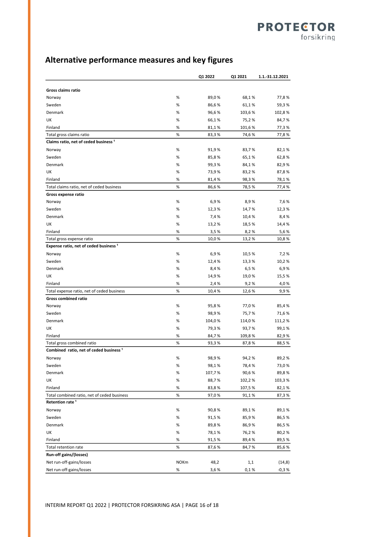## **Alternative performance measures and key figures**

|                                                                              |             | Q1 2022       | Q1 2021        | 1.1.-31.12.2021 |
|------------------------------------------------------------------------------|-------------|---------------|----------------|-----------------|
|                                                                              |             |               |                |                 |
| Gross claims ratio                                                           |             |               |                |                 |
| Norway                                                                       | %           | 89,0%         | 68,1%          | 77,8%           |
| Sweden                                                                       | %           | 86,6%         | 61,1%          | 59,3%           |
| Denmark                                                                      | %           | 96,6%         | 103,6%         | 102,8%          |
| UK                                                                           | %           | 66,1%         | 75,2%          | 84,7%           |
| Finland                                                                      | %           | 81,1%         | 101,6%         | 77,3%           |
| Total gross claims ratio<br>Claims ratio, net of ceded business <sup>1</sup> | %           | 83,3%         | 74,6%          | 77,8%           |
|                                                                              |             |               |                |                 |
| Norway<br>Sweden                                                             | %           | 91,9%         | 83,7 %         | 82,1%           |
|                                                                              | %           | 85,8%         | 65,1%          | 62,8%           |
| Denmark                                                                      | %           | 99,3%         | 84,1%          | 82,9%           |
| UK                                                                           | %           | 73,9%         | 83,2%          | 87,8%           |
| Finland                                                                      | %           | 81,4%         | 98,3%          | 78,1%           |
| Total claims ratio, net of ceded business                                    | %           | 86,6%         | 78,5%          | 77,4 %          |
| Gross expense ratio                                                          | %           | 6,9%          | 8,9%           | 7,6 %           |
| Norway<br>Sweden                                                             | %           |               |                |                 |
| Denmark                                                                      | %           | 12,3%         | 14,7 %         | 12,3%           |
| UK                                                                           | %           | 7,4%          | 10,4 %         | 8,4%            |
| Finland                                                                      | %           | 13,2%<br>3,5% | 18,5 %<br>8,2% | 14,4%<br>5,6%   |
| Total gross expense ratio                                                    | %           | 10,0%         | 13,2%          | 10,8%           |
| Expense ratio, net of ceded business <sup>1</sup>                            |             |               |                |                 |
| Norway                                                                       | %           | 6,9%          | 10,5%          | 7,2%            |
| Sweden                                                                       | %           | 12,4 %        | 13,3%          | 10,2%           |
| Denmark                                                                      | %           | 8,4%          | 6,5%           | 6,9%            |
| UK                                                                           | %           | 14,9%         | 19,0%          | 15,5%           |
| Finland                                                                      | %           | 2,4%          | 9,2%           | 4,0%            |
| Total expense ratio, net of ceded business                                   | %           | 10,4%         | 12,6 %         | 9,9%            |
| <b>Gross combined ratio</b>                                                  |             |               |                |                 |
| Norway                                                                       | %           | 95,8%         | 77,0%          | 85,4%           |
| Sweden                                                                       | %           | 98,9%         | 75,7%          | 71,6%           |
| Denmark                                                                      | %           | 104,0%        | 114,0%         | 111,2 %         |
| UK                                                                           | %           | 79,3%         | 93,7 %         | 99,1%           |
| Finland                                                                      | %           | 84,7%         | 109,8%         | 82,9%           |
| Total gross combined ratio                                                   | %           | 93,3%         | 87,8%          | 88,5%           |
| Combined ratio, net of ceded business <sup>1</sup>                           |             |               |                |                 |
| Norway                                                                       | %           | 98,9%         | 94,2%          | 89,2%           |
| Sweden                                                                       | %           | 98,1%         | 78,4%          | 73,0%           |
| Denmark                                                                      | %           | 107,7%        | 90,6%          | 89,8%           |
| UK                                                                           | %           | 88,7%         | 102,2%         | 103,3%          |
| Finland                                                                      | %           | 83,8%         | 107,5%         | 82,1%           |
| Total combined ratio, net of ceded business                                  | %           | 97,0%         | 91,1%          | 87,3%           |
| Retention rate <sup>1</sup>                                                  |             |               |                |                 |
| Norway                                                                       | $\%$        | 90,8%         | 89,1%          | 89,1%           |
| Sweden                                                                       | %           | 91,5%         | 85,9%          | 86,5%           |
| Denmark                                                                      | %           | 89,8%         | 86,9%          | 86,5%           |
| UK                                                                           | %           | 78,1%         | 76,2%          | 80,2%           |
| Finland                                                                      | %           | 91,5%         | 89,4%          | 89,5%           |
| Total retention rate                                                         | %           | 87,6%         | 84,7%          | 85,6%           |
| Run-off gains/(losses)                                                       |             |               |                |                 |
| Net run-off-gains/losses                                                     | <b>NOKm</b> | 48,2          | 1,1            | (14, 8)         |
| Net run-off-gains/losses                                                     | %           | 3,6%          | 0,1%           | $-0,3%$         |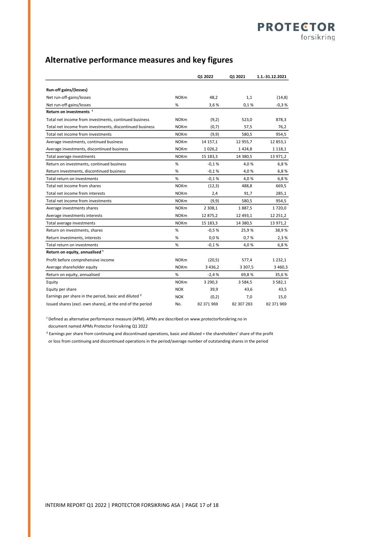## **Alternative performance measures and key figures**

|                                                                  |             | Q1 2022     | Q1 2021    | 1.1.-31.12.2021 |
|------------------------------------------------------------------|-------------|-------------|------------|-----------------|
| Run-off gains/(losses)                                           |             |             |            |                 |
| Net run-off-gains/losses                                         | <b>NOKm</b> | 48,2        | 1,1        | (14, 8)         |
| Net run-off-gains/losses                                         | $\%$        | 3,6%        | 0,1%       | $-0,3%$         |
| Return on investments <sup>1</sup>                               |             |             |            |                 |
| Total net income from investments, continued business            | <b>NOKm</b> | (9,2)       | 523,0      | 878,3           |
| Total net income from investments, discontinued business         | <b>NOKm</b> | (0,7)       | 57,5       | 76,2            |
| Total net income from investments                                | <b>NOKm</b> | (9, 9)      | 580,5      | 954,5           |
| Average investments, continued business                          | <b>NOKm</b> | 14 157,1    | 12 955,7   | 12 853,1        |
| Average investments, discontinued business                       | <b>NOKm</b> | 1026,2      | 1424,8     | 1 1 1 8 , 1     |
| Total average investments                                        | <b>NOKm</b> | 15 183,3    | 14 380,5   | 13 971,2        |
| Return on investments, continued business                        | %           | $-0.1%$     | 4,0%       | 6,8%            |
| Return investments, discontinued business                        | %           | $-0.1%$     | 4,0%       | 6,8%            |
| Total return on investments                                      | %           | $-0.1%$     | 4,0%       | 6,8%            |
| Total net income from shares                                     | <b>NOKm</b> | (12,3)      | 488,8      | 669,5           |
| Total net income from interests                                  | <b>NOKm</b> | 2,4         | 91,7       | 285,1           |
| Total net income from investments                                | <b>NOKm</b> | (9,9)       | 580,5      | 954,5           |
| Average investments shares                                       | <b>NOKm</b> | 2 3 0 8 , 1 | 1887,5     | 1720,0          |
| Average investments interests                                    | <b>NOKm</b> | 12 875,2    | 12 493,1   | 12 251,2        |
| Total average investments                                        | <b>NOKm</b> | 15 183,3    | 14 380,5   | 13 971,2        |
| Return on investments, shares                                    | %           | $-0.5%$     | 25,9%      | 38,9%           |
| Return investments, interests                                    | %           | 0.0%        | 0,7%       | 2,3%            |
| Total return on investments                                      | %           | $-0.1%$     | 4,0%       | 6,8%            |
| Return on equity, annualised <sup>1</sup>                        |             |             |            |                 |
| Profit before comprehensive income                               | <b>NOKm</b> | (20,5)      | 577,4      | 1 2 3 2, 1      |
| Average shareholder equity                                       | <b>NOKm</b> | 3 4 3 6, 2  | 3 3 0 7,5  | 3 4 6 0 , 3     |
| Return on equity, annualised                                     | %           | $-2,4%$     | 69,8%      | 35,6%           |
| Equity                                                           | <b>NOKm</b> | 3 2 9 0, 3  | 3584,5     | 3 5 8 2, 1      |
| Equity per share                                                 | <b>NOK</b>  | 39,9        | 43,6       | 43,5            |
| Earnings per share in the period, basic and diluted <sup>2</sup> | <b>NOK</b>  | (0,2)       | 7,0        | 15,0            |
| Issued shares (excl. own shares), at the end of the period       | No.         | 82 371 969  | 82 307 283 | 82 371 969      |

<sup>1</sup> Defined as alternative performance measure (APM). APMs are described on www.protectorforsikring.no in

document named APMs Protector Forsikring Q1 2022

² Earnings per share from continuing and discontinued operations, basic and diluted = the shareholders' share of the profit or loss from continuing and discontinued operations in the period/average number of outstanding shares in the period